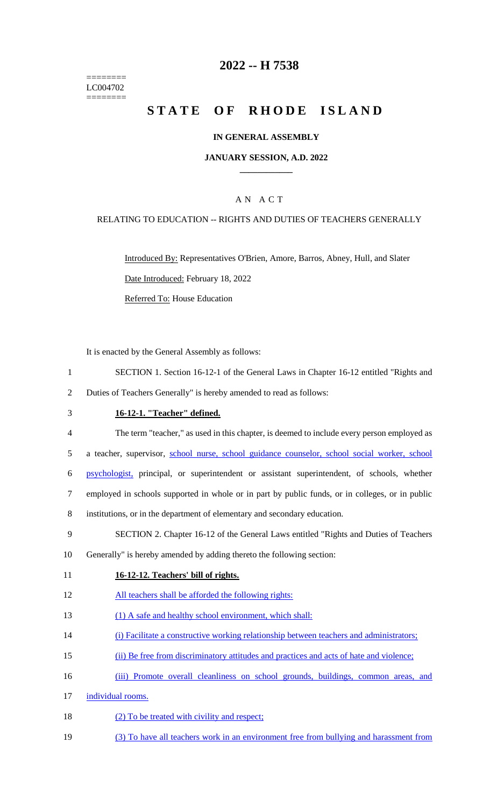======== LC004702 ========

## **2022 -- H 7538**

# **STATE OF RHODE ISLAND**

### **IN GENERAL ASSEMBLY**

#### **JANUARY SESSION, A.D. 2022 \_\_\_\_\_\_\_\_\_\_\_\_**

## A N A C T

### RELATING TO EDUCATION -- RIGHTS AND DUTIES OF TEACHERS GENERALLY

Introduced By: Representatives O'Brien, Amore, Barros, Abney, Hull, and Slater Date Introduced: February 18, 2022 Referred To: House Education

It is enacted by the General Assembly as follows:

- 1 SECTION 1. Section 16-12-1 of the General Laws in Chapter 16-12 entitled "Rights and
- 2 Duties of Teachers Generally" is hereby amended to read as follows:
- 3 **16-12-1. "Teacher" defined.**
- 4 The term "teacher," as used in this chapter, is deemed to include every person employed as
- 5 a teacher, supervisor, school nurse, school guidance counselor, school social worker, school
- 6 psychologist, principal, or superintendent or assistant superintendent, of schools, whether
- 7 employed in schools supported in whole or in part by public funds, or in colleges, or in public
- 8 institutions, or in the department of elementary and secondary education.
- 9 SECTION 2. Chapter 16-12 of the General Laws entitled "Rights and Duties of Teachers
- 10 Generally" is hereby amended by adding thereto the following section:
- 11 **16-12-12. Teachers' bill of rights.**
- 12 All teachers shall be afforded the following rights:
- 13 (1) A safe and healthy school environment, which shall:
- 14 (i) Facilitate a constructive working relationship between teachers and administrators;
- 15 (ii) Be free from discriminatory attitudes and practices and acts of hate and violence;
- 16 (iii) Promote overall cleanliness on school grounds, buildings, common areas, and
- 17 individual rooms.
- 18 (2) To be treated with civility and respect;
- 19 (3) To have all teachers work in an environment free from bullying and harassment from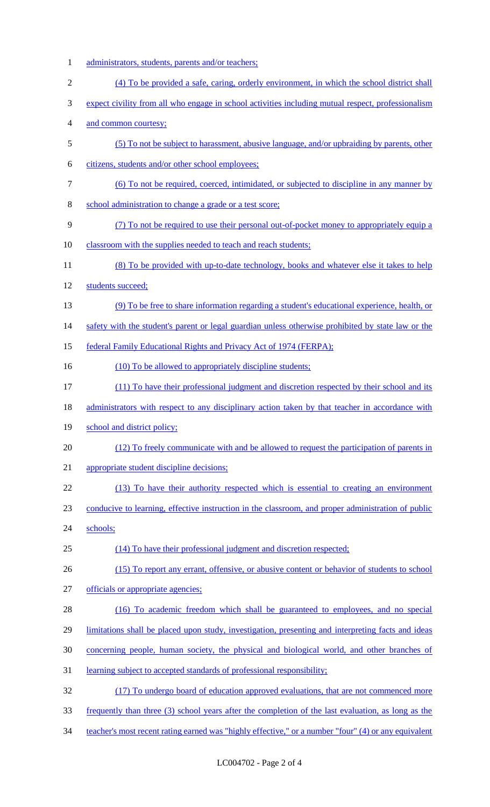1 administrators, students, parents and/or teachers; (4) To be provided a safe, caring, orderly environment, in which the school district shall expect civility from all who engage in school activities including mutual respect, professionalism and common courtesy; (5) To not be subject to harassment, abusive language, and/or upbraiding by parents, other citizens, students and/or other school employees; (6) To not be required, coerced, intimidated, or subjected to discipline in any manner by school administration to change a grade or a test score; (7) To not be required to use their personal out-of-pocket money to appropriately equip a 10 classroom with the supplies needed to teach and reach students; 11 (8) To be provided with up-to-date technology, books and whatever else it takes to help students succeed; (9) To be free to share information regarding a student's educational experience, health, or 14 safety with the student's parent or legal guardian unless otherwise prohibited by state law or the 15 federal Family Educational Rights and Privacy Act of 1974 (FERPA); 16 (10) To be allowed to appropriately discipline students; (11) To have their professional judgment and discretion respected by their school and its 18 administrators with respect to any disciplinary action taken by that teacher in accordance with 19 school and district policy; (12) To freely communicate with and be allowed to request the participation of parents in appropriate student discipline decisions; (13) To have their authority respected which is essential to creating an environment conducive to learning, effective instruction in the classroom, and proper administration of public 24 schools; (14) To have their professional judgment and discretion respected; (15) To report any errant, offensive, or abusive content or behavior of students to school officials or appropriate agencies; (16) To academic freedom which shall be guaranteed to employees, and no special limitations shall be placed upon study, investigation, presenting and interpreting facts and ideas concerning people, human society, the physical and biological world, and other branches of learning subject to accepted standards of professional responsibility; (17) To undergo board of education approved evaluations, that are not commenced more frequently than three (3) school years after the completion of the last evaluation, as long as the teacher's most recent rating earned was "highly effective," or a number "four" (4) or any equivalent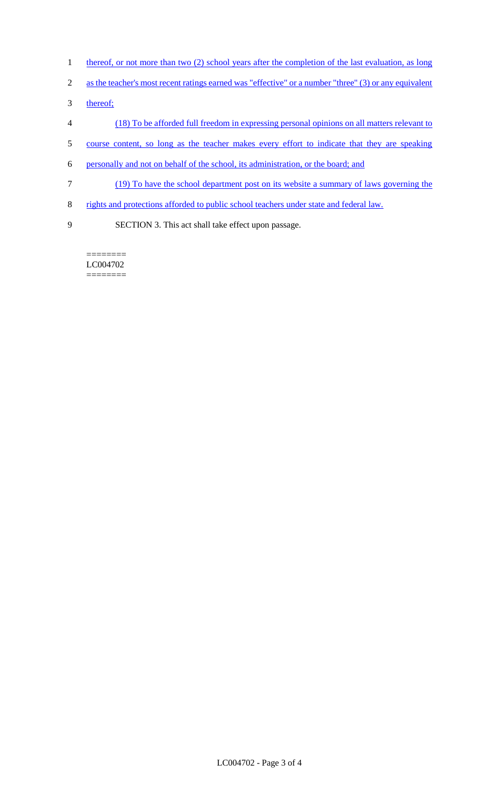- 1 thereof, or not more than two (2) school years after the completion of the last evaluation, as long
- 2 as the teacher's most recent ratings earned was "effective" or a number "three" (3) or any equivalent
- 3 thereof;
- 4 (18) To be afforded full freedom in expressing personal opinions on all matters relevant to
- 5 course content, so long as the teacher makes every effort to indicate that they are speaking
- 6 personally and not on behalf of the school, its administration, or the board; and
- 7 (19) To have the school department post on its website a summary of laws governing the
- 8 rights and protections afforded to public school teachers under state and federal law.
- 

9 SECTION 3. This act shall take effect upon passage.

======== LC004702 ========